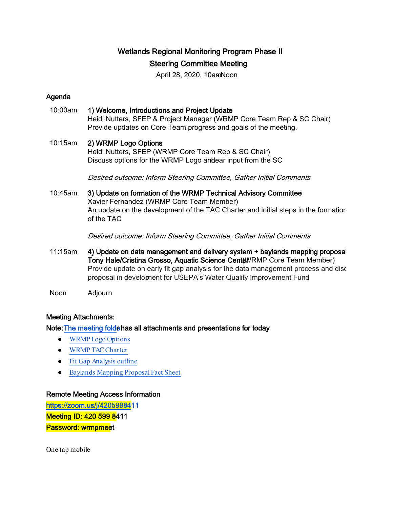# Wetlands Regional Monitoring Program Phase II Steering Committee Meeting

April 28, 2020, 10am Noon

## Agenda

# 10:00am 1) Welcome, Introductions and Project Update

Heidi Nutters, SFEP & Project Manager (WRMP Core Team Rep & SC Chair) Provide updates on Core Team progress and goals of the meeting.

### 10:15am 2) WRMP Logo Options

Heidi Nutters, SFEP (WRMP Core Team Rep & SC Chair) Discuss options for the WRMP Logo andear input from the SC

Desired outcome: Inform Steering Committee, Gather Initial Comments

## 10:45am 3) Update on formation of the WRMP Technical Advisory Committee Xavier Fernandez (WRMP Core Team Member) An update on the development of the TAC Charter and initial steps in the formation of the TAC

Desired outcome: Inform Steering Committee, Gather Initial Comments

- 11:15am 4) Update on data management and delivery system + baylands mapping proposal Tony Hale/Cristina Grosso, Aquatic Science Center NRMP Core Team Member) Provide update on early fit gap analysis for the data management process and disc proposal in development for USEPA's Water Quality Improvement Fund
- Noon Adjourn

### Meeting Attachments:

Note: The meeting folde has all attachments and presentations for today

- [WRMP Logo Options](https://drive.google.com/file/d/1XiuCI9D94J4TUQ7ouns6uJjqLvlkRTPv/view?usp=sharing)
- [WRMP TAC Charter](https://drive.google.com/open?id=1CABbB6YFIKJiC8F66gFGaGOjz9BqgLOQ)
- [Fit Gap Analysis outline](https://docs.google.com/presentation/d/1jd53178IVNfUp5yfMxrY0Xxb7u5Lm1fh2CNXDgFKBuk/edit?usp=sharing)
- [Baylands Mapping Proposal Fact Sheet](https://drive.google.com/open?id=1PyXEEtUmmd4udXGhdIenH3jmm15Jrghi)

### Remote Meeting Access Information

[https://zoom.us/j/420599841](https://zoom.us/j/4205998411)1 Meeting ID: 420 599 8411 Password: wrmpmeet

One tap mobile